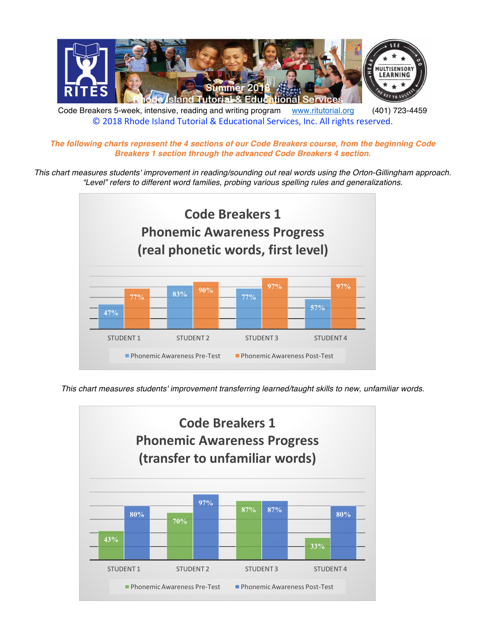

Code Breakers 5-week, intensive, reading and writing program www.ritutorial.org (401) 723-4459 © 2018 Rhode Island Tutorial & Educational Services, Inc. All rights reserved.

*The following charts represent the 4 sections of our Code Breakers course, from the beginning Code Breakers 1 section through the advanced Code Breakers 4 section.*

*This chart measures students' improvement in reading/sounding out real words using the Orton-Gillingham approach. "Level" refers to different word families, probing various spelling rules and generalizations.*



*This chart measures students' improvement transferring learned/taught skills to new, unfamiliar words.* 

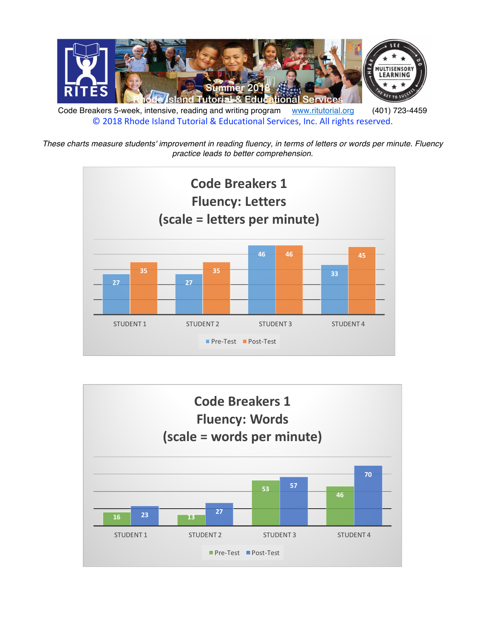

Code Breakers 5-week, intensive, reading and writing program www.ritutorial.org (401) 723-4459 © 2018 Rhode Island Tutorial & Educational Services, Inc. All rights reserved.

*These charts measure students' improvement in reading fluency, in terms of letters or words per minute. Fluency practice leads to better comprehension.*



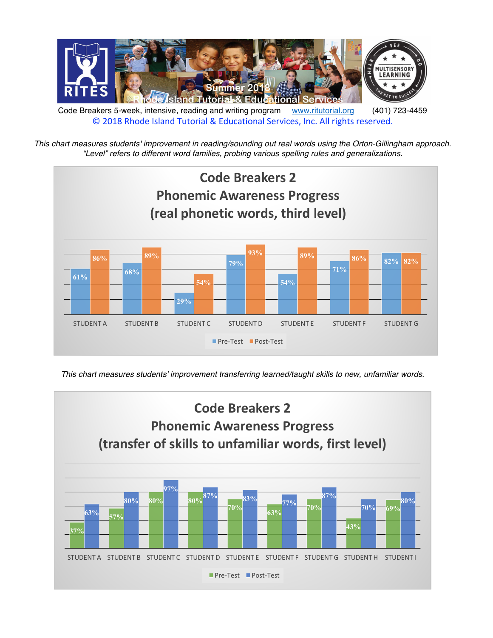

*This chart measures students' improvement in reading/sounding out real words using the Orton-Gillingham approach. "Level" refers to different word families, probing various spelling rules and generalizations.*



*This chart measures students' improvement transferring learned/taught skills to new, unfamiliar words.*

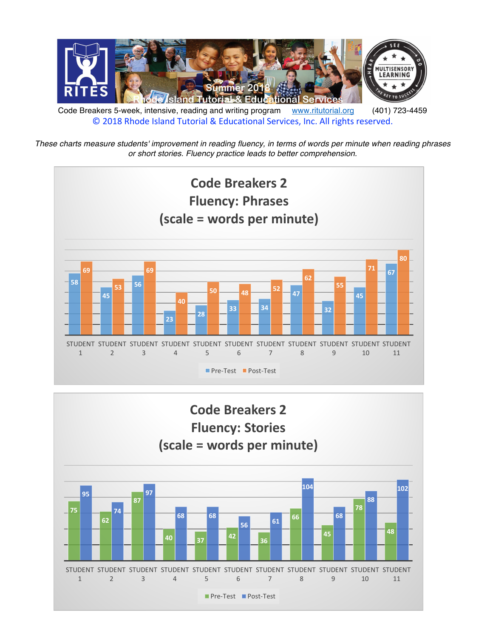

*These charts measure students' improvement in reading fluency, in terms of words per minute when reading phrases or short stories. Fluency practice leads to better comprehension.*



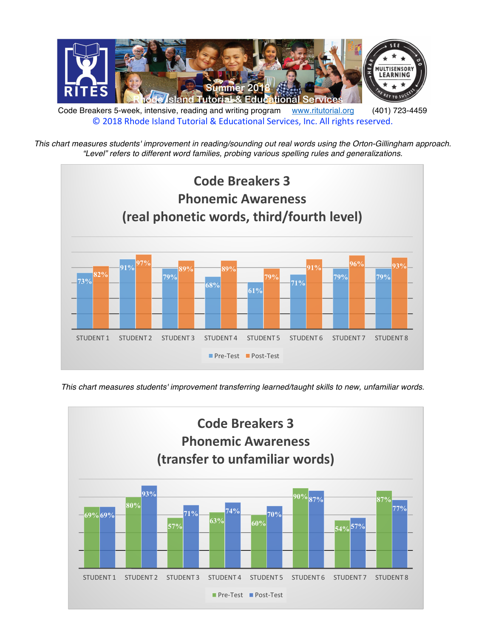

*This chart measures students' improvement in reading/sounding out real words using the Orton-Gillingham approach. "Level" refers to different word families, probing various spelling rules and generalizations.*



*This chart measures students' improvement transferring learned/taught skills to new, unfamiliar words.*

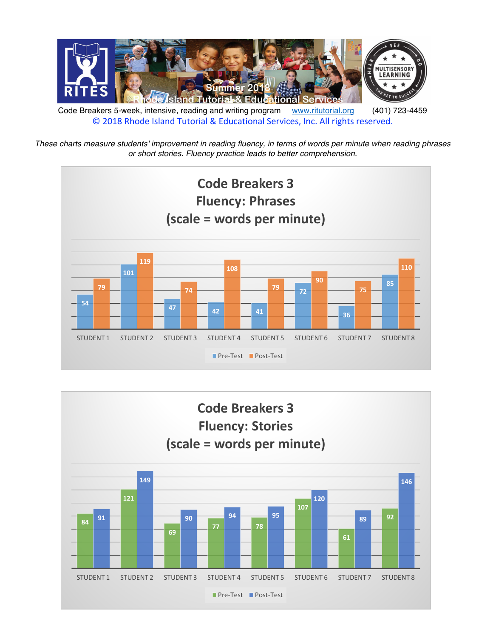

*These charts measure students' improvement in reading fluency, in terms of words per minute when reading phrases or short stories. Fluency practice leads to better comprehension.*



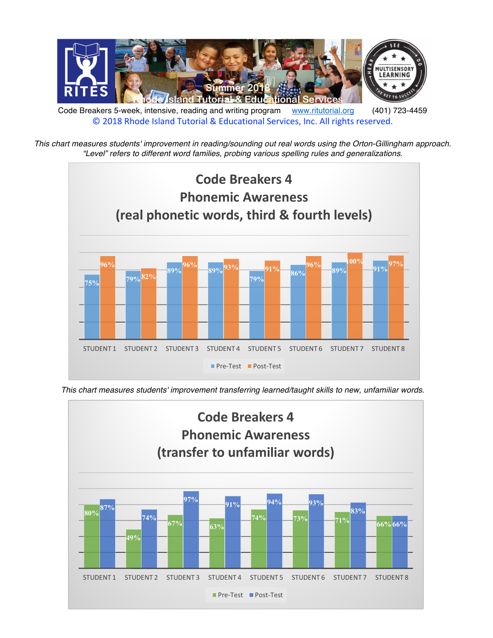

Code Breakers 5-week, intensive, reading and writing program www.ritutorial.org (401) 723-4459 © 2018 Rhode Island Tutorial & Educational Services, Inc. All rights reserved.

*This chart measures students' improvement in reading/sounding out real words using the Orton-Gillingham approach. "Level" refers to different word families, probing various spelling rules and generalizations.*



*This chart measures students' improvement transferring learned/taught skills to new, unfamiliar words.*